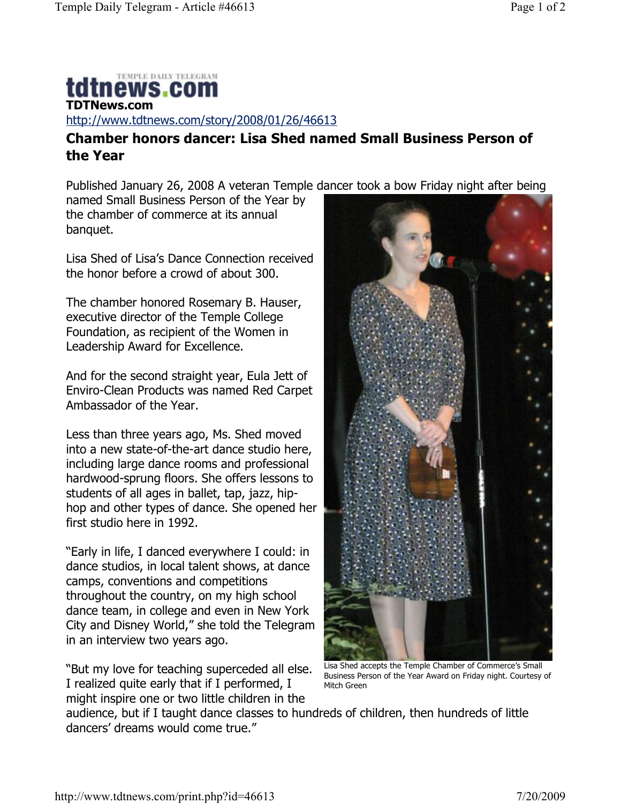## TEMPLE DAILY TELEGRAM tdtnews.com **TDTNews.com**

http://www.tdtnews.com/story/2008/01/26/46613

## **Chamber honors dancer: Lisa Shed named Small Business Person of the Year**

Published January 26, 2008 A veteran Temple dancer took a bow Friday night after being

named Small Business Person of the Year by the chamber of commerce at its annual banquet.

Lisa Shed of Lisa's Dance Connection received the honor before a crowd of about 300.

The chamber honored Rosemary B. Hauser, executive director of the Temple College Foundation, as recipient of the Women in Leadership Award for Excellence.

And for the second straight year, Eula Jett of Enviro-Clean Products was named Red Carpet Ambassador of the Year.

Less than three years ago, Ms. Shed moved into a new state-of-the-art dance studio here, including large dance rooms and professional hardwood-sprung floors. She offers lessons to students of all ages in ballet, tap, jazz, hiphop and other types of dance. She opened her first studio here in 1992.

"Early in life, I danced everywhere I could: in dance studios, in local talent shows, at dance camps, conventions and competitions throughout the country, on my high school dance team, in college and even in New York City and Disney World," she told the Telegram in an interview two years ago.

"But my love for teaching superceded all else. I realized quite early that if I performed, I might inspire one or two little children in the



Lisa Shed accepts the Temple Chamber of Commerce's Small Business Person of the Year Award on Friday night. Courtesy of Mitch Green

audience, but if I taught dance classes to hundreds of children, then hundreds of little dancers' dreams would come true."